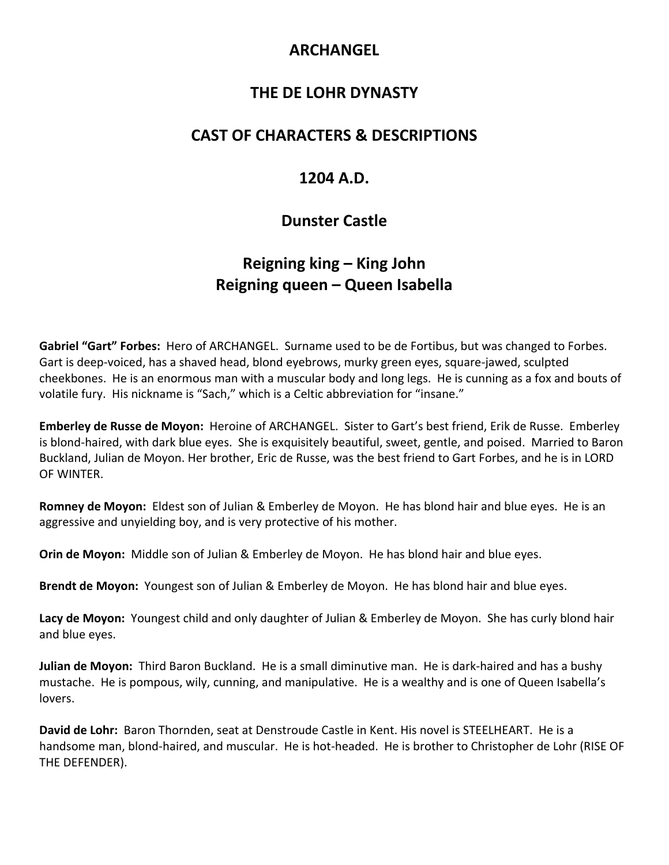## **ARCHANGEL**

### **THE DE LOHR DYNASTY**

#### **CAST OF CHARACTERS & DESCRIPTIONS**

## **1204 A.D.**

# **Dunster Castle**

# **Reigning king – King John Reigning queen – Queen Isabella**

**Gabriel "Gart" Forbes:** Hero of ARCHANGEL. Surname used to be de Fortibus, but was changed to Forbes. Gart is deep-voiced, has a shaved head, blond eyebrows, murky green eyes, square-jawed, sculpted cheekbones. He is an enormous man with a muscular body and long legs. He is cunning as a fox and bouts of volatile fury. His nickname is "Sach," which is a Celtic abbreviation for "insane."

**Emberley de Russe de Moyon:** Heroine of ARCHANGEL. Sister to Gart's best friend, Erik de Russe. Emberley is blond-haired, with dark blue eyes. She is exquisitely beautiful, sweet, gentle, and poised. Married to Baron Buckland, Julian de Moyon. Her brother, Eric de Russe, was the best friend to Gart Forbes, and he is in LORD OF WINTER.

**Romney de Moyon:** Eldest son of Julian & Emberley de Moyon. He has blond hair and blue eyes. He is an aggressive and unyielding boy, and is very protective of his mother.

**Orin de Moyon:** Middle son of Julian & Emberley de Moyon. He has blond hair and blue eyes.

**Brendt de Moyon:** Youngest son of Julian & Emberley de Moyon. He has blond hair and blue eyes.

**Lacy de Moyon:** Youngest child and only daughter of Julian & Emberley de Moyon. She has curly blond hair and blue eyes.

**Julian de Moyon:** Third Baron Buckland. He is a small diminutive man. He is dark-haired and has a bushy mustache. He is pompous, wily, cunning, and manipulative. He is a wealthy and is one of Queen Isabella's lovers.

**David de Lohr:** Baron Thornden, seat at Denstroude Castle in Kent. His novel is STEELHEART. He is a handsome man, blond-haired, and muscular. He is hot-headed. He is brother to Christopher de Lohr (RISE OF THE DEFENDER).